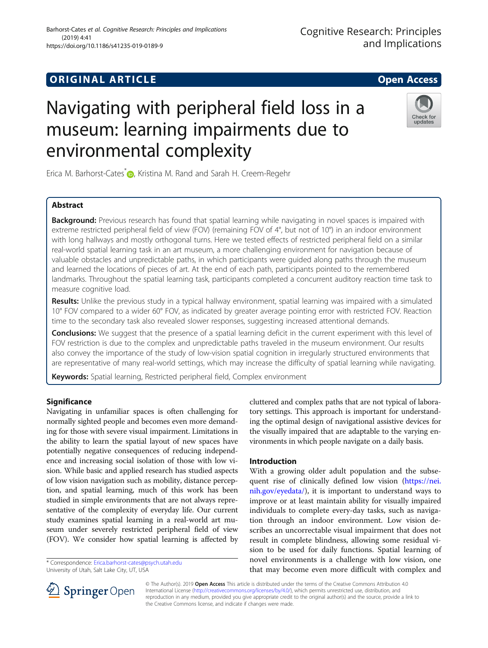# Navigating with peripheral field loss in a museum: learning impairments due to environmental complexity



Erica M. Barhorst-Cates<sup>\*</sup> [,](http://orcid.org/0000-0001-9007-5652) Kristina M. Rand and Sarah H. Creem-Regehr

# Abstract

Background: Previous research has found that spatial learning while navigating in novel spaces is impaired with extreme restricted peripheral field of view (FOV) (remaining FOV of 4°, but not of 10°) in an indoor environment with long hallways and mostly orthogonal turns. Here we tested effects of restricted peripheral field on a similar real-world spatial learning task in an art museum, a more challenging environment for navigation because of valuable obstacles and unpredictable paths, in which participants were guided along paths through the museum and learned the locations of pieces of art. At the end of each path, participants pointed to the remembered landmarks. Throughout the spatial learning task, participants completed a concurrent auditory reaction time task to measure cognitive load.

Results: Unlike the previous study in a typical hallway environment, spatial learning was impaired with a simulated 10° FOV compared to a wider 60° FOV, as indicated by greater average pointing error with restricted FOV. Reaction time to the secondary task also revealed slower responses, suggesting increased attentional demands.

**Conclusions:** We suggest that the presence of a spatial learning deficit in the current experiment with this level of FOV restriction is due to the complex and unpredictable paths traveled in the museum environment. Our results also convey the importance of the study of low-vision spatial cognition in irregularly structured environments that are representative of many real-world settings, which may increase the difficulty of spatial learning while navigating.

Keywords: Spatial learning, Restricted peripheral field, Complex environment

# **Significance**

Navigating in unfamiliar spaces is often challenging for normally sighted people and becomes even more demanding for those with severe visual impairment. Limitations in the ability to learn the spatial layout of new spaces have potentially negative consequences of reducing independence and increasing social isolation of those with low vision. While basic and applied research has studied aspects of low vision navigation such as mobility, distance perception, and spatial learning, much of this work has been studied in simple environments that are not always representative of the complexity of everyday life. Our current study examines spatial learning in a real-world art museum under severely restricted peripheral field of view (FOV). We consider how spatial learning is affected by

\* Correspondence: [Erica.barhorst-cates@psych.utah.edu](mailto:Erica.barhorst-cates@psych.utah.edu) University of Utah, Salt Lake City, UT, USA

cluttered and complex paths that are not typical of laboratory settings. This approach is important for understanding the optimal design of navigational assistive devices for the visually impaired that are adaptable to the varying environments in which people navigate on a daily basis.

# Introduction

With a growing older adult population and the subsequent rise of clinically defined low vision [\(https://nei.](https://nei.nih.gov/eyedata/) [nih.gov/eyedata/](https://nei.nih.gov/eyedata/)), it is important to understand ways to improve or at least maintain ability for visually impaired individuals to complete every-day tasks, such as navigation through an indoor environment. Low vision describes an uncorrectable visual impairment that does not result in complete blindness, allowing some residual vision to be used for daily functions. Spatial learning of novel environments is a challenge with low vision, one that may become even more difficult with complex and



© The Author(s). 2019 Open Access This article is distributed under the terms of the Creative Commons Attribution 4.0 International License ([http://creativecommons.org/licenses/by/4.0/\)](http://creativecommons.org/licenses/by/4.0/), which permits unrestricted use, distribution, and reproduction in any medium, provided you give appropriate credit to the original author(s) and the source, provide a link to the Creative Commons license, and indicate if changes were made.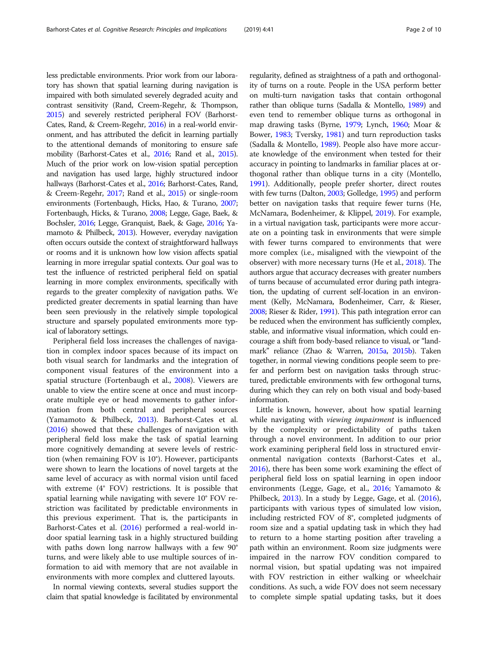less predictable environments. Prior work from our laboratory has shown that spatial learning during navigation is impaired with both simulated severely degraded acuity and contrast sensitivity (Rand, Creem-Regehr, & Thompson, [2015\)](#page-9-0) and severely restricted peripheral FOV (Barhorst-Cates, Rand, & Creem-Regehr, [2016\)](#page-9-0) in a real-world environment, and has attributed the deficit in learning partially to the attentional demands of monitoring to ensure safe mobility (Barhorst-Cates et al., [2016;](#page-9-0) Rand et al., [2015](#page-9-0)). Much of the prior work on low-vision spatial perception and navigation has used large, highly structured indoor hallways (Barhorst-Cates et al., [2016;](#page-9-0) Barhorst-Cates, Rand, & Creem-Regehr, [2017](#page-9-0); Rand et al., [2015](#page-9-0)) or single-room environments (Fortenbaugh, Hicks, Hao, & Turano, [2007](#page-9-0); Fortenbaugh, Hicks, & Turano, [2008;](#page-9-0) Legge, Gage, Baek, & Bochsler, [2016;](#page-9-0) Legge, Granquist, Baek, & Gage, [2016](#page-9-0); Yamamoto & Philbeck, [2013](#page-9-0)). However, everyday navigation often occurs outside the context of straightforward hallways or rooms and it is unknown how low vision affects spatial learning in more irregular spatial contexts. Our goal was to test the influence of restricted peripheral field on spatial learning in more complex environments, specifically with regards to the greater complexity of navigation paths. We predicted greater decrements in spatial learning than have been seen previously in the relatively simple topological structure and sparsely populated environments more typical of laboratory settings.

Peripheral field loss increases the challenges of navigation in complex indoor spaces because of its impact on both visual search for landmarks and the integration of component visual features of the environment into a spatial structure (Fortenbaugh et al., [2008\)](#page-9-0). Viewers are unable to view the entire scene at once and must incorporate multiple eye or head movements to gather information from both central and peripheral sources (Yamamoto & Philbeck, [2013\)](#page-9-0). Barhorst-Cates et al. ([2016](#page-9-0)) showed that these challenges of navigation with peripheral field loss make the task of spatial learning more cognitively demanding at severe levels of restriction (when remaining FOV is 10°). However, participants were shown to learn the locations of novel targets at the same level of accuracy as with normal vision until faced with extreme (4° FOV) restrictions. It is possible that spatial learning while navigating with severe 10° FOV restriction was facilitated by predictable environments in this previous experiment. That is, the participants in Barhorst-Cates et al. [\(2016\)](#page-9-0) performed a real-world indoor spatial learning task in a highly structured building with paths down long narrow hallways with a few 90° turns, and were likely able to use multiple sources of information to aid with memory that are not available in environments with more complex and cluttered layouts.

In normal viewing contexts, several studies support the claim that spatial knowledge is facilitated by environmental

regularity, defined as straightness of a path and orthogonality of turns on a route. People in the USA perform better on multi-turn navigation tasks that contain orthogonal rather than oblique turns (Sadalla & Montello, [1989\)](#page-9-0) and even tend to remember oblique turns as orthogonal in map drawing tasks (Byrne, [1979;](#page-9-0) Lynch, [1960;](#page-9-0) Moar & Bower, [1983](#page-9-0); Tversky, [1981](#page-9-0)) and turn reproduction tasks (Sadalla & Montello, [1989\)](#page-9-0). People also have more accurate knowledge of the environment when tested for their accuracy in pointing to landmarks in familiar places at orthogonal rather than oblique turns in a city (Montello, [1991\)](#page-9-0). Additionally, people prefer shorter, direct routes with few turns (Dalton, [2003](#page-9-0); Golledge, [1995](#page-9-0)) and perform better on navigation tasks that require fewer turns (He, McNamara, Bodenheimer, & Klippel, [2019\)](#page-9-0). For example, in a virtual navigation task, participants were more accurate on a pointing task in environments that were simple with fewer turns compared to environments that were more complex (i.e., misaligned with the viewpoint of the observer) with more necessary turns (He et al., [2018\)](#page-9-0). The authors argue that accuracy decreases with greater numbers of turns because of accumulated error during path integration, the updating of current self-location in an environment (Kelly, McNamara, Bodenheimer, Carr, & Rieser, [2008;](#page-9-0) Rieser & Rider, [1991](#page-9-0)). This path integration error can be reduced when the environment has sufficiently complex, stable, and informative visual information, which could encourage a shift from body-based reliance to visual, or "landmark" reliance (Zhao & Warren, [2015a,](#page-9-0) [2015b](#page-9-0)). Taken together, in normal viewing conditions people seem to prefer and perform best on navigation tasks through structured, predictable environments with few orthogonal turns, during which they can rely on both visual and body-based information.

Little is known, however, about how spatial learning while navigating with viewing impairment is influenced by the complexity or predictability of paths taken through a novel environment. In addition to our prior work examining peripheral field loss in structured environmental navigation contexts (Barhorst-Cates et al., [2016](#page-9-0)), there has been some work examining the effect of peripheral field loss on spatial learning in open indoor environments (Legge, Gage, et al., [2016](#page-9-0); Yamamoto & Philbeck, [2013\)](#page-9-0). In a study by Legge, Gage, et al. ([2016](#page-9-0)), participants with various types of simulated low vision, including restricted FOV of 8°, completed judgments of room size and a spatial updating task in which they had to return to a home starting position after traveling a path within an environment. Room size judgments were impaired in the narrow FOV condition compared to normal vision, but spatial updating was not impaired with FOV restriction in either walking or wheelchair conditions. As such, a wide FOV does not seem necessary to complete simple spatial updating tasks, but it does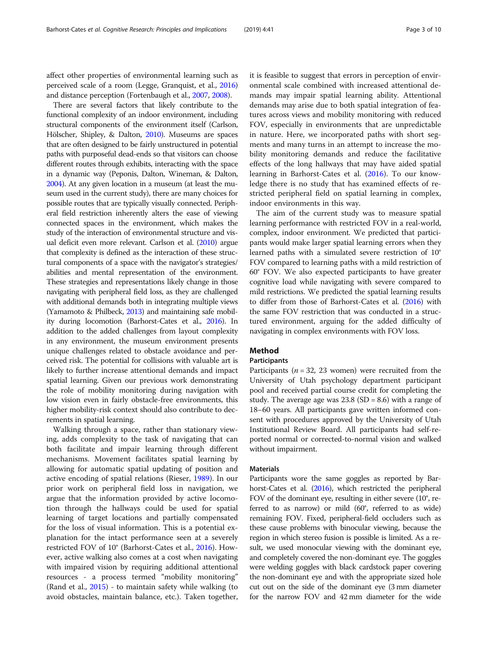affect other properties of environmental learning such as perceived scale of a room (Legge, Granquist, et al., [2016](#page-9-0)) and distance perception (Fortenbaugh et al., [2007,](#page-9-0) [2008\)](#page-9-0).

There are several factors that likely contribute to the functional complexity of an indoor environment, including structural components of the environment itself (Carlson, Hölscher, Shipley, & Dalton, [2010\)](#page-9-0). Museums are spaces that are often designed to be fairly unstructured in potential paths with purposeful dead-ends so that visitors can choose different routes through exhibits, interacting with the space in a dynamic way (Peponis, Dalton, Wineman, & Dalton, [2004\)](#page-9-0). At any given location in a museum (at least the museum used in the current study), there are many choices for possible routes that are typically visually connected. Peripheral field restriction inherently alters the ease of viewing connected spaces in the environment, which makes the study of the interaction of environmental structure and visual deficit even more relevant. Carlson et al. [\(2010](#page-9-0)) argue that complexity is defined as the interaction of these structural components of a space with the navigator's strategies/ abilities and mental representation of the environment. These strategies and representations likely change in those navigating with peripheral field loss, as they are challenged with additional demands both in integrating multiple views (Yamamoto & Philbeck, [2013](#page-9-0)) and maintaining safe mobility during locomotion (Barhorst-Cates et al., [2016\)](#page-9-0). In addition to the added challenges from layout complexity in any environment, the museum environment presents unique challenges related to obstacle avoidance and perceived risk. The potential for collisions with valuable art is likely to further increase attentional demands and impact spatial learning. Given our previous work demonstrating the role of mobility monitoring during navigation with low vision even in fairly obstacle-free environments, this higher mobility-risk context should also contribute to decrements in spatial learning.

Walking through a space, rather than stationary viewing, adds complexity to the task of navigating that can both facilitate and impair learning through different mechanisms. Movement facilitates spatial learning by allowing for automatic spatial updating of position and active encoding of spatial relations (Rieser, [1989\)](#page-9-0). In our prior work on peripheral field loss in navigation, we argue that the information provided by active locomotion through the hallways could be used for spatial learning of target locations and partially compensated for the loss of visual information. This is a potential explanation for the intact performance seen at a severely restricted FOV of 10° (Barhorst-Cates et al., [2016](#page-9-0)). However, active walking also comes at a cost when navigating with impaired vision by requiring additional attentional resources - a process termed "mobility monitoring" (Rand et al., [2015](#page-9-0)) - to maintain safety while walking (to avoid obstacles, maintain balance, etc.). Taken together, it is feasible to suggest that errors in perception of environmental scale combined with increased attentional demands may impair spatial learning ability. Attentional demands may arise due to both spatial integration of features across views and mobility monitoring with reduced FOV, especially in environments that are unpredictable in nature. Here, we incorporated paths with short segments and many turns in an attempt to increase the mobility monitoring demands and reduce the facilitative effects of the long hallways that may have aided spatial learning in Barhorst-Cates et al. ([2016](#page-9-0)). To our knowledge there is no study that has examined effects of restricted peripheral field on spatial learning in complex, indoor environments in this way.

The aim of the current study was to measure spatial learning performance with restricted FOV in a real-world, complex, indoor environment. We predicted that participants would make larger spatial learning errors when they learned paths with a simulated severe restriction of 10° FOV compared to learning paths with a mild restriction of 60° FOV. We also expected participants to have greater cognitive load while navigating with severe compared to mild restrictions. We predicted the spatial learning results to differ from those of Barhorst-Cates et al. [\(2016\)](#page-9-0) with the same FOV restriction that was conducted in a structured environment, arguing for the added difficulty of navigating in complex environments with FOV loss.

# Method

# **Participants**

Participants ( $n = 32$ , 23 women) were recruited from the University of Utah psychology department participant pool and received partial course credit for completing the study. The average age was  $23.8$  (SD = 8.6) with a range of 18–60 years. All participants gave written informed consent with procedures approved by the University of Utah Institutional Review Board. All participants had self-reported normal or corrected-to-normal vision and walked without impairment.

# **Materials**

Participants wore the same goggles as reported by Barhorst-Cates et al. [\(2016\)](#page-9-0), which restricted the peripheral FOV of the dominant eye, resulting in either severe (10°, referred to as narrow) or mild (60°, referred to as wide) remaining FOV. Fixed, peripheral-field occluders such as these cause problems with binocular viewing, because the region in which stereo fusion is possible is limited. As a result, we used monocular viewing with the dominant eye, and completely covered the non-dominant eye. The goggles were welding goggles with black cardstock paper covering the non-dominant eye and with the appropriate sized hole cut out on the side of the dominant eye (3 mm diameter for the narrow FOV and 42 mm diameter for the wide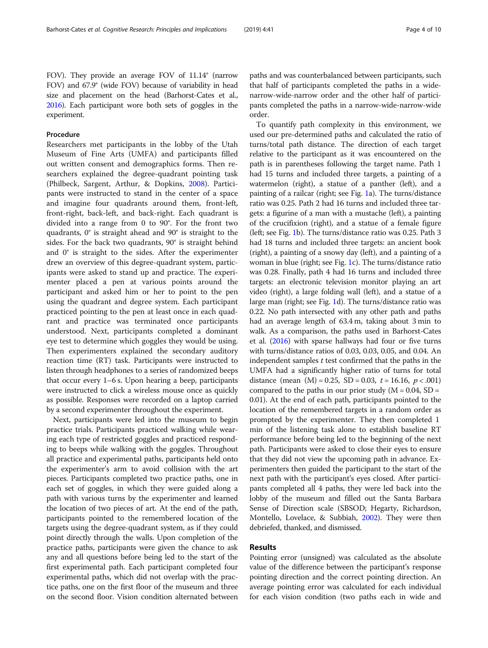FOV). They provide an average FOV of 11.14° (narrow FOV) and 67.9° (wide FOV) because of variability in head size and placement on the head (Barhorst-Cates et al., [2016\)](#page-9-0). Each participant wore both sets of goggles in the experiment.

# Procedure

Researchers met participants in the lobby of the Utah Museum of Fine Arts (UMFA) and participants filled out written consent and demographics forms. Then researchers explained the degree-quadrant pointing task (Philbeck, Sargent, Arthur, & Dopkins, [2008](#page-9-0)). Participants were instructed to stand in the center of a space and imagine four quadrants around them, front-left, front-right, back-left, and back-right. Each quadrant is divided into a range from 0 to 90°. For the front two quadrants, 0° is straight ahead and 90° is straight to the sides. For the back two quadrants, 90° is straight behind and 0° is straight to the sides. After the experimenter drew an overview of this degree-quadrant system, participants were asked to stand up and practice. The experimenter placed a pen at various points around the participant and asked him or her to point to the pen using the quadrant and degree system. Each participant practiced pointing to the pen at least once in each quadrant and practice was terminated once participants understood. Next, participants completed a dominant eye test to determine which goggles they would be using. Then experimenters explained the secondary auditory reaction time (RT) task. Participants were instructed to listen through headphones to a series of randomized beeps that occur every 1–6 s. Upon hearing a beep, participants were instructed to click a wireless mouse once as quickly as possible. Responses were recorded on a laptop carried by a second experimenter throughout the experiment.

Next, participants were led into the museum to begin practice trials. Participants practiced walking while wearing each type of restricted goggles and practiced responding to beeps while walking with the goggles. Throughout all practice and experimental paths, participants held onto the experimenter's arm to avoid collision with the art pieces. Participants completed two practice paths, one in each set of goggles, in which they were guided along a path with various turns by the experimenter and learned the location of two pieces of art. At the end of the path, participants pointed to the remembered location of the targets using the degree-quadrant system, as if they could point directly through the walls. Upon completion of the practice paths, participants were given the chance to ask any and all questions before being led to the start of the first experimental path. Each participant completed four experimental paths, which did not overlap with the practice paths, one on the first floor of the museum and three on the second floor. Vision condition alternated between

paths and was counterbalanced between participants, such that half of participants completed the paths in a widenarrow-wide-narrow order and the other half of participants completed the paths in a narrow-wide-narrow-wide order.

To quantify path complexity in this environment, we used our pre-determined paths and calculated the ratio of turns/total path distance. The direction of each target relative to the participant as it was encountered on the path is in parentheses following the target name. Path 1 had 15 turns and included three targets, a painting of a watermelon (right), a statue of a panther (left), and a painting of a railcar (right; see Fig. [1](#page-5-0)a). The turns/distance ratio was 0.25. Path 2 had 16 turns and included three targets: a figurine of a man with a mustache (left), a painting of the crucifixion (right), and a statue of a female figure (left; see Fig. [1b](#page-5-0)). The turns/distance ratio was 0.25. Path 3 had 18 turns and included three targets: an ancient book (right), a painting of a snowy day (left), and a painting of a woman in blue (right; see Fig. [1c](#page-5-0)). The turns/distance ratio was 0.28. Finally, path 4 had 16 turns and included three targets: an electronic television monitor playing an art video (right), a large folding wall (left), and a statue of a large man (right; see Fig. [1d](#page-5-0)). The turns/distance ratio was 0.22. No path intersected with any other path and paths had an average length of 63.4 m, taking about 3 min to walk. As a comparison, the paths used in Barhorst-Cates et al. [\(2016\)](#page-9-0) with sparse hallways had four or five turns with turns/distance ratios of 0.03, 0.03, 0.05, and 0.04. An independent samples  $t$  test confirmed that the paths in the UMFA had a significantly higher ratio of turns for total distance (mean  $(M) = 0.25$ , SD = 0.03,  $t = 16.16$ ,  $p < .001$ ) compared to the paths in our prior study  $(M = 0.04, SD =$ 0.01). At the end of each path, participants pointed to the location of the remembered targets in a random order as prompted by the experimenter. They then completed 1 min of the listening task alone to establish baseline RT performance before being led to the beginning of the next path. Participants were asked to close their eyes to ensure that they did not view the upcoming path in advance. Experimenters then guided the participant to the start of the next path with the participant's eyes closed. After participants completed all 4 paths, they were led back into the lobby of the museum and filled out the Santa Barbara Sense of Direction scale (SBSOD; Hegarty, Richardson, Montello, Lovelace, & Subbiah, [2002\)](#page-9-0). They were then debriefed, thanked, and dismissed.

# Results

Pointing error (unsigned) was calculated as the absolute value of the difference between the participant's response pointing direction and the correct pointing direction. An average pointing error was calculated for each individual for each vision condition (two paths each in wide and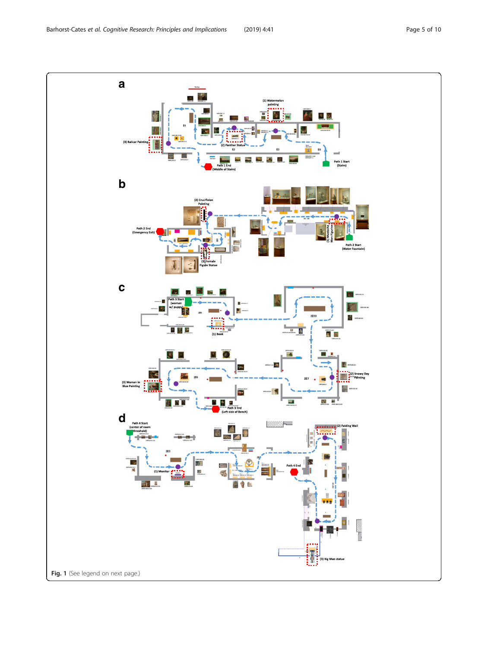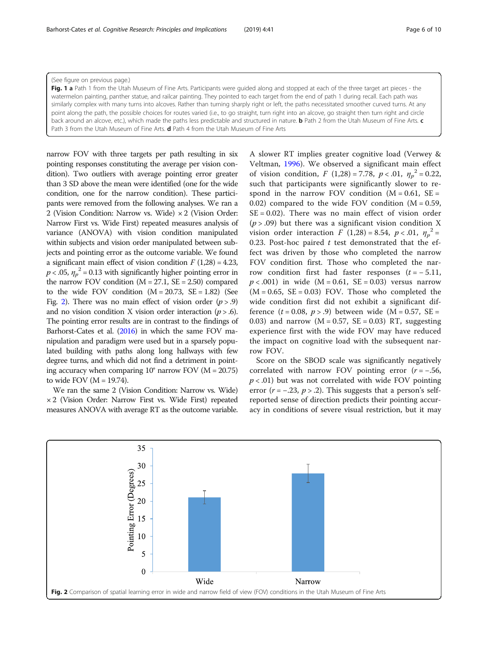# <span id="page-5-0"></span>(See figure on previous page.)

Fig. 1 a Path 1 from the Utah Museum of Fine Arts. Participants were quided along and stopped at each of the three target art pieces - the watermelon painting, panther statue, and railcar painting. They pointed to each target from the end of path 1 during recall. Each path was similarly complex with many turns into alcoves. Rather than turning sharply right or left, the paths necessitated smoother curved turns. At any point along the path, the possible choices for routes varied (i.e., to go straight, turn right into an alcove, go straight then turn right and circle back around an alcove, etc.), which made the paths less predictable and structured in nature. **b** Path 2 from the Utah Museum of Fine Arts. c Path 3 from the Utah Museum of Fine Arts. d Path 4 from the Utah Museum of Fine Arts

narrow FOV with three targets per path resulting in six pointing responses constituting the average per vision condition). Two outliers with average pointing error greater than 3 SD above the mean were identified (one for the wide condition, one for the narrow condition). These participants were removed from the following analyses. We ran a 2 (Vision Condition: Narrow vs. Wide) × 2 (Vision Order: Narrow First vs. Wide First) repeated measures analysis of variance (ANOVA) with vision condition manipulated within subjects and vision order manipulated between subjects and pointing error as the outcome variable. We found a significant main effect of vision condition  $F(1,28) = 4.23$ ,  $p < .05$ ,  $\eta_p^2 = 0.13$  with significantly higher pointing error in the parrow EOV condition  $(M - 27.1 \text{ SF} - 2.50)$  compared the narrow FOV condition  $(M = 27.1, SE = 2.50)$  compared to the wide FOV condition  $(M = 20.73, SE = 1.82)$  (See Fig. 2). There was no main effect of vision order  $(p > .9)$ and no vision condition X vision order interaction  $(p > .6)$ . The pointing error results are in contrast to the findings of Barhorst-Cates et al. [\(2016\)](#page-9-0) in which the same FOV manipulation and paradigm were used but in a sparsely populated building with paths along long hallways with few degree turns, and which did not find a detriment in pointing accuracy when comparing  $10^{\circ}$  narrow FOV (M = 20.75) to wide FOV  $(M = 19.74)$ .

We ran the same 2 (Vision Condition: Narrow vs. Wide) × 2 (Vision Order: Narrow First vs. Wide First) repeated measures ANOVA with average RT as the outcome variable.

A slower RT implies greater cognitive load (Verwey & Veltman, [1996\)](#page-9-0). We observed a significant main effect of vision condition,  $F(1,28) = 7.78$ ,  $p < .01$ ,  $\eta_p^2 = 0.22$ , such that participants were significantly slower to resuch that participants were significantly slower to respond in the narrow FOV condition  $(M = 0.61, SE =$ 0.02) compared to the wide FOV condition  $(M = 0.59,$  $SE = 0.02$ ). There was no main effect of vision order  $(p > .09)$  but there was a significant vision condition X vision order interaction  $F(1,28) = 8.54$ ,  $p < .01$ ,  $\eta_p^2 = 0.23$ . Post-boc paired t test demonstrated that the ef-0.23. Post-hoc paired  $t$  test demonstrated that the effect was driven by those who completed the narrow FOV condition first. Those who completed the narrow condition first had faster responses  $(t = -5.11,$  $p < .001$ ) in wide (M = 0.61, SE = 0.03) versus narrow  $(M = 0.65, SE = 0.03)$  FOV. Those who completed the wide condition first did not exhibit a significant difference  $(t = 0.08, p > .9)$  between wide  $(M = 0.57, SE =$ 0.03) and narrow  $(M = 0.57, SE = 0.03) RT$ , suggesting experience first with the wide FOV may have reduced the impact on cognitive load with the subsequent narrow FOV.

Score on the SBOD scale was significantly negatively correlated with narrow FOV pointing error  $(r = -.56, )$  $p < .01$ ) but was not correlated with wide FOV pointing error ( $r = -.23$ ,  $p > .2$ ). This suggests that a person's selfreported sense of direction predicts their pointing accuracy in conditions of severe visual restriction, but it may

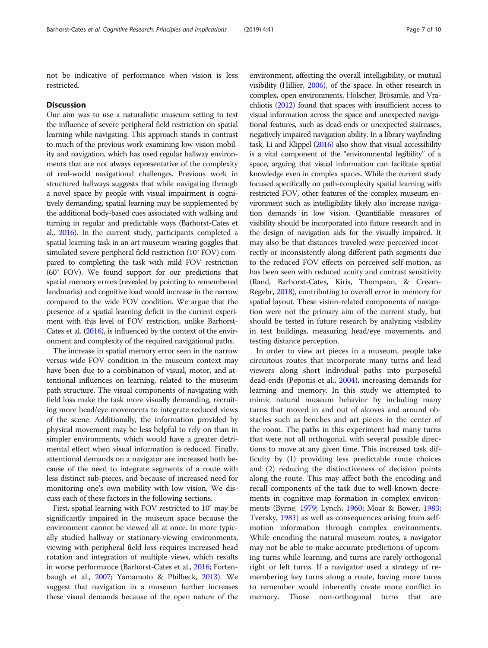not be indicative of performance when vision is less restricted.

# **Discussion**

Our aim was to use a naturalistic museum setting to test the influence of severe peripheral field restriction on spatial learning while navigating. This approach stands in contrast to much of the previous work examining low-vision mobility and navigation, which has used regular hallway environments that are not always representative of the complexity of real-world navigational challenges. Previous work in structured hallways suggests that while navigating through a novel space by people with visual impairment is cognitively demanding, spatial learning may be supplemented by the additional body-based cues associated with walking and turning in regular and predictable ways (Barhorst-Cates et al., [2016\)](#page-9-0). In the current study, participants completed a spatial learning task in an art museum wearing goggles that simulated severe peripheral field restriction (10° FOV) compared to completing the task with mild FOV restriction (60° FOV). We found support for our predictions that spatial memory errors (revealed by pointing to remembered landmarks) and cognitive load would increase in the narrow compared to the wide FOV condition. We argue that the presence of a spatial learning deficit in the current experiment with this level of FOV restriction, unlike Barhorst-Cates et al. [\(2016\)](#page-9-0), is influenced by the context of the environment and complexity of the required navigational paths.

The increase in spatial memory error seen in the narrow versus wide FOV condition in the museum context may have been due to a combination of visual, motor, and attentional influences on learning, related to the museum path structure. The visual components of navigating with field loss make the task more visually demanding, recruiting more head/eye movements to integrate reduced views of the scene. Additionally, the information provided by physical movement may be less helpful to rely on than in simpler environments, which would have a greater detrimental effect when visual information is reduced. Finally, attentional demands on a navigator are increased both because of the need to integrate segments of a route with less distinct sub-pieces, and because of increased need for monitoring one's own mobility with low vision. We discuss each of these factors in the following sections.

First, spatial learning with FOV restricted to 10° may be significantly impaired in the museum space because the environment cannot be viewed all at once. In more typically studied hallway or stationary-viewing environments, viewing with peripheral field loss requires increased head rotation and integration of multiple views, which results in worse performance (Barhorst-Cates et al., [2016;](#page-9-0) Fortenbaugh et al., [2007](#page-9-0); Yamamoto & Philbeck, [2013\)](#page-9-0). We suggest that navigation in a museum further increases these visual demands because of the open nature of the

environment, affecting the overall intelligibility, or mutual visibility (Hillier, [2006\)](#page-9-0), of the space. In other research in complex, open environments, Hölscher, Brösamle, and Vrachliotis ([2012](#page-9-0)) found that spaces with insufficient access to visual information across the space and unexpected navigational features, such as dead-ends or unexpected staircases, negatively impaired navigation ability. In a library wayfinding task, Li and Klippel ([2016](#page-9-0)) also show that visual accessibility is a vital component of the "environmental legibility" of a space, arguing that visual information can facilitate spatial knowledge even in complex spaces. While the current study focused specifically on path-complexity spatial learning with restricted FOV, other features of the complex museum environment such as intelligibility likely also increase navigation demands in low vision. Quantifiable measures of visibility should be incorporated into future research and in the design of navigation aids for the visually impaired. It may also be that distances traveled were perceived incorrectly or inconsistently along different path segments due to the reduced FOV effects on perceived self-motion, as has been seen with reduced acuity and contrast sensitivity (Rand, Barhorst-Cates, Kiris, Thompson, & Creem-Regehr, [2018\)](#page-9-0), contributing to overall error in memory for spatial layout. These vision-related components of navigation were not the primary aim of the current study, but should be tested in future research by analyzing visibility in test buildings, measuring head/eye movements, and testing distance perception.

In order to view art pieces in a museum, people take circuitous routes that incorporate many turns and lead viewers along short individual paths into purposeful dead-ends (Peponis et al., [2004\)](#page-9-0), increasing demands for learning and memory. In this study we attempted to mimic natural museum behavior by including many turns that moved in and out of alcoves and around obstacles such as benches and art pieces in the center of the room. The paths in this experiment had many turns that were not all orthogonal, with several possible directions to move at any given time. This increased task difficulty by (1) providing less predictable route choices and (2) reducing the distinctiveness of decision points along the route. This may affect both the encoding and recall components of the task due to well-known decrements in cognitive map formation in complex environments (Byrne, [1979;](#page-9-0) Lynch, [1960](#page-9-0); Moar & Bower, [1983](#page-9-0); Tversky, [1981\)](#page-9-0) as well as consequences arising from selfmotion information through complex environments. While encoding the natural museum routes, a navigator may not be able to make accurate predictions of upcoming turns while learning, and turns are rarely orthogonal right or left turns. If a navigator used a strategy of remembering key turns along a route, having more turns to remember would inherently create more conflict in memory. Those non-orthogonal turns that are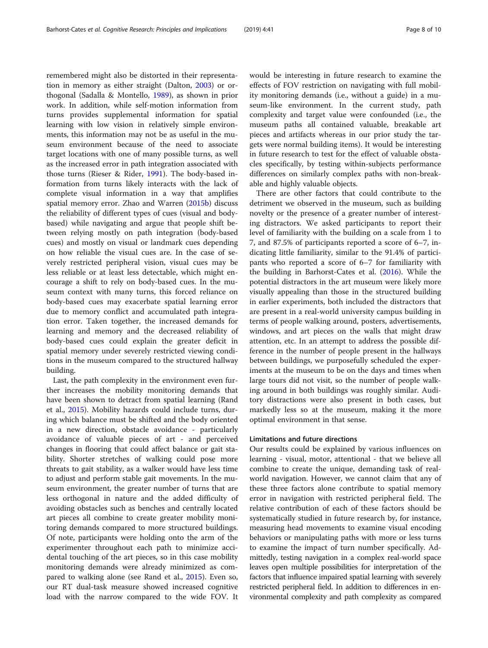remembered might also be distorted in their representation in memory as either straight (Dalton, [2003](#page-9-0)) or orthogonal (Sadalla & Montello, [1989](#page-9-0)), as shown in prior work. In addition, while self-motion information from turns provides supplemental information for spatial learning with low vision in relatively simple environments, this information may not be as useful in the museum environment because of the need to associate target locations with one of many possible turns, as well as the increased error in path integration associated with those turns (Rieser & Rider, [1991\)](#page-9-0). The body-based information from turns likely interacts with the lack of complete visual information in a way that amplifies spatial memory error. Zhao and Warren [\(2015b](#page-9-0)) discuss the reliability of different types of cues (visual and bodybased) while navigating and argue that people shift between relying mostly on path integration (body-based cues) and mostly on visual or landmark cues depending on how reliable the visual cues are. In the case of severely restricted peripheral vision, visual cues may be less reliable or at least less detectable, which might encourage a shift to rely on body-based cues. In the museum context with many turns, this forced reliance on body-based cues may exacerbate spatial learning error due to memory conflict and accumulated path integration error. Taken together, the increased demands for learning and memory and the decreased reliability of body-based cues could explain the greater deficit in spatial memory under severely restricted viewing conditions in the museum compared to the structured hallway building.

Last, the path complexity in the environment even further increases the mobility monitoring demands that have been shown to detract from spatial learning (Rand et al., [2015\)](#page-9-0). Mobility hazards could include turns, during which balance must be shifted and the body oriented in a new direction, obstacle avoidance - particularly avoidance of valuable pieces of art - and perceived changes in flooring that could affect balance or gait stability. Shorter stretches of walking could pose more threats to gait stability, as a walker would have less time to adjust and perform stable gait movements. In the museum environment, the greater number of turns that are less orthogonal in nature and the added difficulty of avoiding obstacles such as benches and centrally located art pieces all combine to create greater mobility monitoring demands compared to more structured buildings. Of note, participants were holding onto the arm of the experimenter throughout each path to minimize accidental touching of the art pieces, so in this case mobility monitoring demands were already minimized as compared to walking alone (see Rand et al., [2015\)](#page-9-0). Even so, our RT dual-task measure showed increased cognitive load with the narrow compared to the wide FOV. It would be interesting in future research to examine the effects of FOV restriction on navigating with full mobility monitoring demands (i.e., without a guide) in a museum-like environment. In the current study, path complexity and target value were confounded (i.e., the museum paths all contained valuable, breakable art pieces and artifacts whereas in our prior study the targets were normal building items). It would be interesting in future research to test for the effect of valuable obstacles specifically, by testing within-subjects performance differences on similarly complex paths with non-breakable and highly valuable objects.

There are other factors that could contribute to the detriment we observed in the museum, such as building novelty or the presence of a greater number of interesting distractors. We asked participants to report their level of familiarity with the building on a scale from 1 to 7, and 87.5% of participants reported a score of 6–7, indicating little familiarity, similar to the 91.4% of participants who reported a score of 6–7 for familiarity with the building in Barhorst-Cates et al. ([2016\)](#page-9-0). While the potential distractors in the art museum were likely more visually appealing than those in the structured building in earlier experiments, both included the distractors that are present in a real-world university campus building in terms of people walking around, posters, advertisements, windows, and art pieces on the walls that might draw attention, etc. In an attempt to address the possible difference in the number of people present in the hallways between buildings, we purposefully scheduled the experiments at the museum to be on the days and times when large tours did not visit, so the number of people walking around in both buildings was roughly similar. Auditory distractions were also present in both cases, but markedly less so at the museum, making it the more optimal environment in that sense.

# Limitations and future directions

Our results could be explained by various influences on learning - visual, motor, attentional - that we believe all combine to create the unique, demanding task of realworld navigation. However, we cannot claim that any of these three factors alone contribute to spatial memory error in navigation with restricted peripheral field. The relative contribution of each of these factors should be systematically studied in future research by, for instance, measuring head movements to examine visual encoding behaviors or manipulating paths with more or less turns to examine the impact of turn number specifically. Admittedly, testing navigation in a complex real-world space leaves open multiple possibilities for interpretation of the factors that influence impaired spatial learning with severely restricted peripheral field. In addition to differences in environmental complexity and path complexity as compared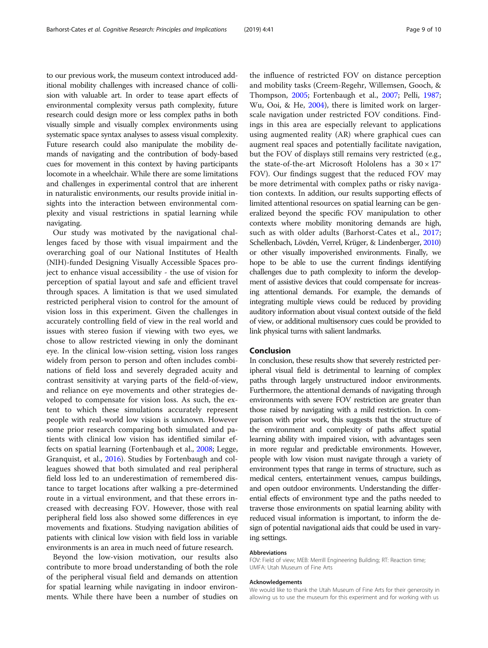to our previous work, the museum context introduced additional mobility challenges with increased chance of collision with valuable art. In order to tease apart effects of environmental complexity versus path complexity, future research could design more or less complex paths in both visually simple and visually complex environments using systematic space syntax analyses to assess visual complexity. Future research could also manipulate the mobility demands of navigating and the contribution of body-based cues for movement in this context by having participants locomote in a wheelchair. While there are some limitations and challenges in experimental control that are inherent in naturalistic environments, our results provide initial insights into the interaction between environmental complexity and visual restrictions in spatial learning while navigating.

Our study was motivated by the navigational challenges faced by those with visual impairment and the overarching goal of our National Institutes of Health (NIH)-funded Designing Visually Accessible Spaces project to enhance visual accessibility - the use of vision for perception of spatial layout and safe and efficient travel through spaces. A limitation is that we used simulated restricted peripheral vision to control for the amount of vision loss in this experiment. Given the challenges in accurately controlling field of view in the real world and issues with stereo fusion if viewing with two eyes, we chose to allow restricted viewing in only the dominant eye. In the clinical low-vision setting, vision loss ranges widely from person to person and often includes combinations of field loss and severely degraded acuity and contrast sensitivity at varying parts of the field-of-view, and reliance on eye movements and other strategies developed to compensate for vision loss. As such, the extent to which these simulations accurately represent people with real-world low vision is unknown. However some prior research comparing both simulated and patients with clinical low vision has identified similar effects on spatial learning (Fortenbaugh et al., [2008](#page-9-0); Legge, Granquist, et al., [2016\)](#page-9-0). Studies by Fortenbaugh and colleagues showed that both simulated and real peripheral field loss led to an underestimation of remembered distance to target locations after walking a pre-determined route in a virtual environment, and that these errors increased with decreasing FOV. However, those with real peripheral field loss also showed some differences in eye movements and fixations. Studying navigation abilities of patients with clinical low vision with field loss in variable environments is an area in much need of future research.

Beyond the low-vision motivation, our results also contribute to more broad understanding of both the role of the peripheral visual field and demands on attention for spatial learning while navigating in indoor environments. While there have been a number of studies on

the influence of restricted FOV on distance perception and mobility tasks (Creem-Regehr, Willemsen, Gooch, & Thompson, [2005;](#page-9-0) Fortenbaugh et al., [2007;](#page-9-0) Pelli, [1987](#page-9-0); Wu, Ooi, & He, [2004\)](#page-9-0), there is limited work on largerscale navigation under restricted FOV conditions. Findings in this area are especially relevant to applications using augmented reality (AR) where graphical cues can augment real spaces and potentially facilitate navigation, but the FOV of displays still remains very restricted (e.g., the state-of-the-art Microsoft Hololens has a  $30 \times 17^{\circ}$ FOV). Our findings suggest that the reduced FOV may be more detrimental with complex paths or risky navigation contexts. In addition, our results supporting effects of limited attentional resources on spatial learning can be generalized beyond the specific FOV manipulation to other contexts where mobility monitoring demands are high, such as with older adults (Barhorst-Cates et al., [2017](#page-9-0); Schellenbach, Lövdén, Verrel, Krüger, & Lindenberger, [2010](#page-9-0)) or other visually impoverished environments. Finally, we hope to be able to use the current findings identifying challenges due to path complexity to inform the development of assistive devices that could compensate for increasing attentional demands. For example, the demands of integrating multiple views could be reduced by providing auditory information about visual context outside of the field of view, or additional multisensory cues could be provided to link physical turns with salient landmarks.

# Conclusion

In conclusion, these results show that severely restricted peripheral visual field is detrimental to learning of complex paths through largely unstructured indoor environments. Furthermore, the attentional demands of navigating through environments with severe FOV restriction are greater than those raised by navigating with a mild restriction. In comparison with prior work, this suggests that the structure of the environment and complexity of paths affect spatial learning ability with impaired vision, with advantages seen in more regular and predictable environments. However, people with low vision must navigate through a variety of environment types that range in terms of structure, such as medical centers, entertainment venues, campus buildings, and open outdoor environments. Understanding the differential effects of environment type and the paths needed to traverse those environments on spatial learning ability with reduced visual information is important, to inform the design of potential navigational aids that could be used in varying settings.

# Abbreviations

FOV: Field of view; MEB: Merrill Engineering Building; RT: Reaction time; UMFA: Utah Museum of Fine Arts

#### Acknowledgements

We would like to thank the Utah Museum of Fine Arts for their generosity in allowing us to use the museum for this experiment and for working with us